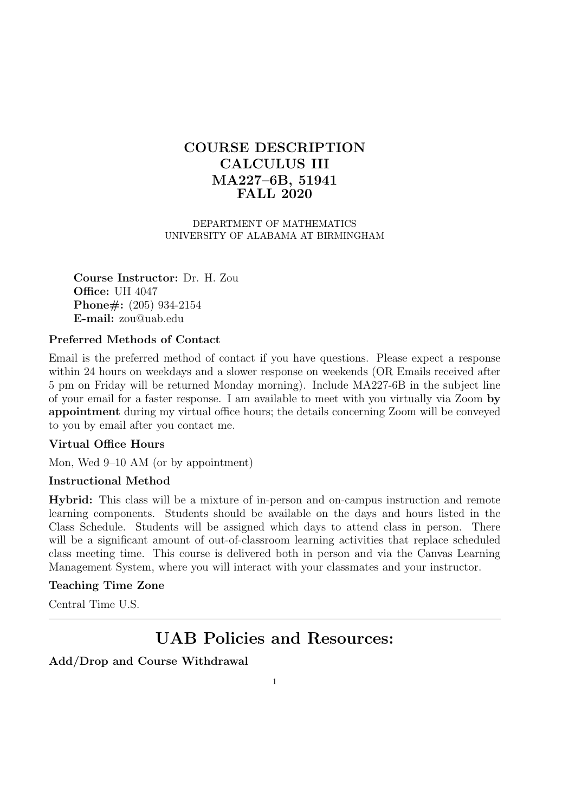# **COURSE DESCRIPTION CALCULUS III MA227–6B, 51941 FALL 2020**

DEPARTMENT OF MATHEMATICS UNIVERSITY OF ALABAMA AT BIRMINGHAM

**Course Instructor:** Dr. H. Zou **Office:** UH 4047 **Phone#:** (205) 934-2154 **E-mail:** zou@uab.edu

## **Preferred Methods of Contact**

Email is the preferred method of contact if you have questions. Please expect a response within 24 hours on weekdays and a slower response on weekends (OR Emails received after 5 pm on Friday will be returned Monday morning). Include MA227-6B in the subject line of your email for a faster response. I am available to meet with you virtually via Zoom **by appointment** during my virtual office hours; the details concerning Zoom will be conveyed to you by email after you contact me.

### **Virtual Office Hours**

Mon, Wed 9–10 AM (or by appointment)

# **Instructional Method**

**Hybrid:** This class will be a mixture of in-person and on-campus instruction and remote learning components. Students should be available on the days and hours listed in the Class Schedule. Students will be assigned which days to attend class in person. There will be a significant amount of out-of-classroom learning activities that replace scheduled class meeting time. This course is delivered both in person and via the Canvas Learning Management System, where you will interact with your classmates and your instructor.

# **Teaching Time Zone**

Central Time U.S.

# **UAB Policies and Resources:**

# **Add/Drop and Course Withdrawal**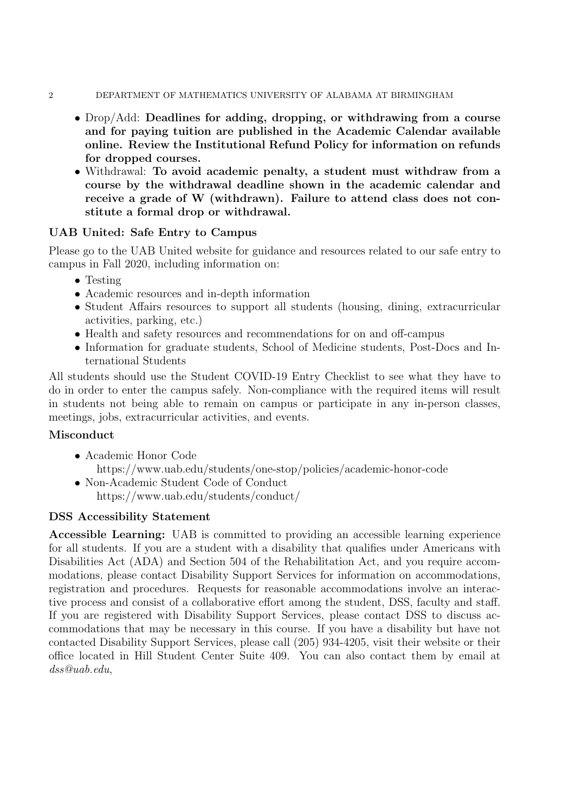#### 2 DEPARTMENT OF MATHEMATICS UNIVERSITY OF ALABAMA AT BIRMINGHAM

- *•* Drop/Add: **Deadlines for adding, dropping, or withdrawing from a course and for paying tuition are published in the Academic Calendar available online. Review the Institutional Refund Policy for information on refunds for dropped courses.**
- *•* Withdrawal: **To avoid academic penalty, a student must withdraw from a course by the withdrawal deadline shown in the academic calendar and receive a grade of W (withdrawn). Failure to attend class does not constitute a formal drop or withdrawal.**

# **UAB United: Safe Entry to Campus**

Please go to the UAB United website for guidance and resources related to our safe entry to campus in Fall 2020, including information on:

- *•* Testing
- Academic resources and in-depth information
- Student Affairs resources to support all students (housing, dining, extracurricular activities, parking, etc.)
- Health and safety resources and recommendations for on and off-campus
- Information for graduate students, School of Medicine students, Post-Docs and International Students

All students should use the Student COVID-19 Entry Checklist to see what they have to do in order to enter the campus safely. Non-compliance with the required items will result in students not being able to remain on campus or participate in any in-person classes, meetings, jobs, extracurricular activities, and events.

# **Misconduct**

- *•* Academic Honor Code https://www.uab.edu/students/one-stop/policies/academic-honor-code
- *•* Non-Academic Student Code of Conduct https://www.uab.edu/students/conduct/

# **DSS Accessibility Statement**

**Accessible Learning:** UAB is committed to providing an accessible learning experience for all students. If you are a student with a disability that qualifies under Americans with Disabilities Act (ADA) and Section 504 of the Rehabilitation Act, and you require accommodations, please contact Disability Support Services for information on accommodations, registration and procedures. Requests for reasonable accommodations involve an interactive process and consist of a collaborative effort among the student, DSS, faculty and staff. If you are registered with Disability Support Services, please contact DSS to discuss accommodations that may be necessary in this course. If you have a disability but have not contacted Disability Support Services, please call (205) 934-4205, visit their website or their office located in Hill Student Center Suite 409. You can also contact them by email at *dss@uab.edu*,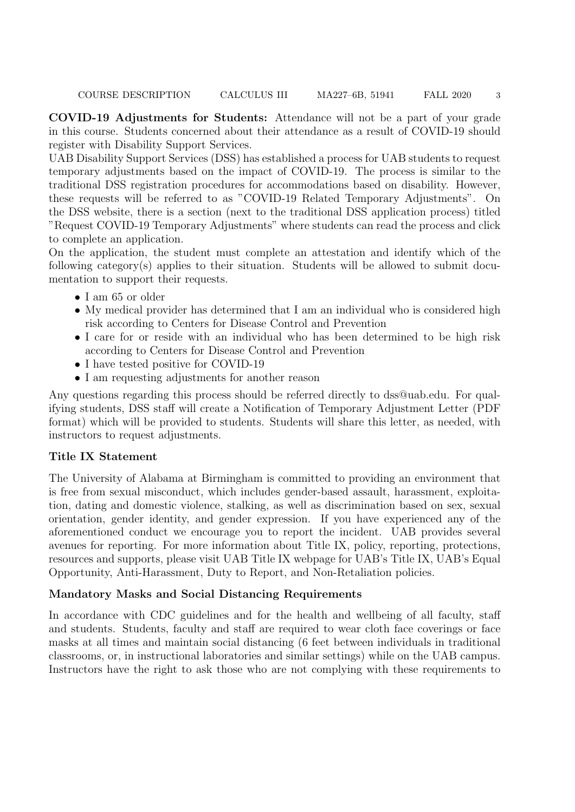**COVID-19 Adjustments for Students:** Attendance will not be a part of your grade in this course. Students concerned about their attendance as a result of COVID-19 should register with Disability Support Services.

UAB Disability Support Services (DSS) has established a process for UAB students to request temporary adjustments based on the impact of COVID-19. The process is similar to the traditional DSS registration procedures for accommodations based on disability. However, these requests will be referred to as "COVID-19 Related Temporary Adjustments". On the DSS website, there is a section (next to the traditional DSS application process) titled "Request COVID-19 Temporary Adjustments" where students can read the process and click to complete an application.

On the application, the student must complete an attestation and identify which of the following category(s) applies to their situation. Students will be allowed to submit documentation to support their requests.

- *•* I am 65 or older
- My medical provider has determined that I am an individual who is considered high risk according to Centers for Disease Control and Prevention
- *•* I care for or reside with an individual who has been determined to be high risk according to Centers for Disease Control and Prevention
- I have tested positive for COVID-19
- I am requesting adjustments for another reason

Any questions regarding this process should be referred directly to dss@uab.edu. For qualifying students, DSS staff will create a Notification of Temporary Adjustment Letter (PDF format) which will be provided to students. Students will share this letter, as needed, with instructors to request adjustments.

# **Title IX Statement**

The University of Alabama at Birmingham is committed to providing an environment that is free from sexual misconduct, which includes gender-based assault, harassment, exploitation, dating and domestic violence, stalking, as well as discrimination based on sex, sexual orientation, gender identity, and gender expression. If you have experienced any of the aforementioned conduct we encourage you to report the incident. UAB provides several avenues for reporting. For more information about Title IX, policy, reporting, protections, resources and supports, please visit UAB Title IX webpage for UAB's Title IX, UAB's Equal Opportunity, Anti-Harassment, Duty to Report, and Non-Retaliation policies.

# **Mandatory Masks and Social Distancing Requirements**

In accordance with CDC guidelines and for the health and wellbeing of all faculty, staff and students. Students, faculty and staff are required to wear cloth face coverings or face masks at all times and maintain social distancing (6 feet between individuals in traditional classrooms, or, in instructional laboratories and similar settings) while on the UAB campus. Instructors have the right to ask those who are not complying with these requirements to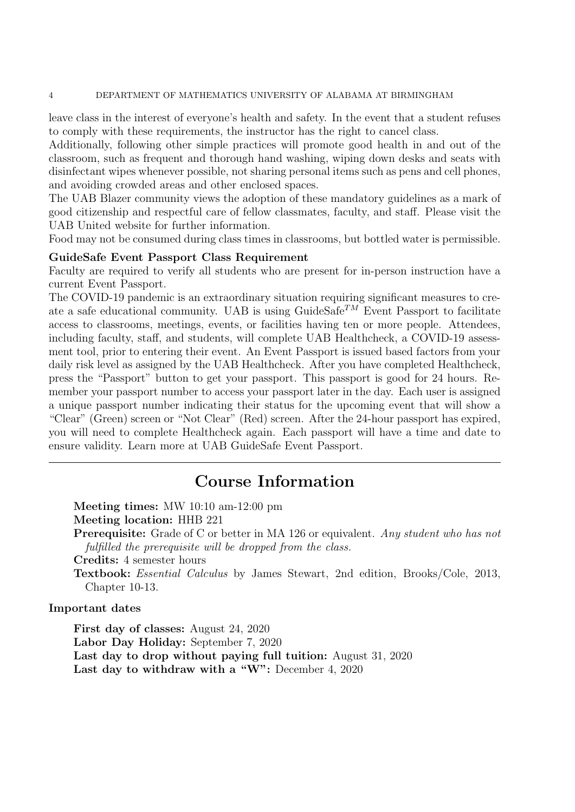#### 4 DEPARTMENT OF MATHEMATICS UNIVERSITY OF ALABAMA AT BIRMINGHAM

leave class in the interest of everyone's health and safety. In the event that a student refuses to comply with these requirements, the instructor has the right to cancel class.

Additionally, following other simple practices will promote good health in and out of the classroom, such as frequent and thorough hand washing, wiping down desks and seats with disinfectant wipes whenever possible, not sharing personal items such as pens and cell phones, and avoiding crowded areas and other enclosed spaces.

The UAB Blazer community views the adoption of these mandatory guidelines as a mark of good citizenship and respectful care of fellow classmates, faculty, and staff. Please visit the UAB United website for further information.

Food may not be consumed during class times in classrooms, but bottled water is permissible.

#### **GuideSafe Event Passport Class Requirement**

Faculty are required to verify all students who are present for in-person instruction have a current Event Passport.

The COVID-19 pandemic is an extraordinary situation requiring significant measures to create a safe educational community. UAB is using  $\text{GuideSafe}^{TM}$  Event Passport to facilitate access to classrooms, meetings, events, or facilities having ten or more people. Attendees, including faculty, staff, and students, will complete UAB Healthcheck, a COVID-19 assessment tool, prior to entering their event. An Event Passport is issued based factors from your daily risk level as assigned by the UAB Healthcheck. After you have completed Healthcheck, press the "Passport" button to get your passport. This passport is good for 24 hours. Remember your passport number to access your passport later in the day. Each user is assigned a unique passport number indicating their status for the upcoming event that will show a "Clear" (Green) screen or "Not Clear" (Red) screen. After the 24-hour passport has expired, you will need to complete Healthcheck again. Each passport will have a time and date to ensure validity. Learn more at UAB GuideSafe Event Passport.

# **Course Information**

**Meeting times:** MW 10:10 am-12:00 pm **Meeting location:** HHB 221 **Prerequisite:** Grade of C or better in MA 126 or equivalent. *Any student who has not fulfilled the prerequisite will be dropped from the class.* **Credits:** 4 semester hours **Textbook:** *Essential Calculus* by James Stewart, 2nd edition, Brooks/Cole, 2013, Chapter 10-13.

#### **Important dates**

**First day of classes:** August 24, 2020 **Labor Day Holiday:** September 7, 2020 **Last day to drop without paying full tuition:** August 31, 2020 **Last day to withdraw with a "W":** December 4, 2020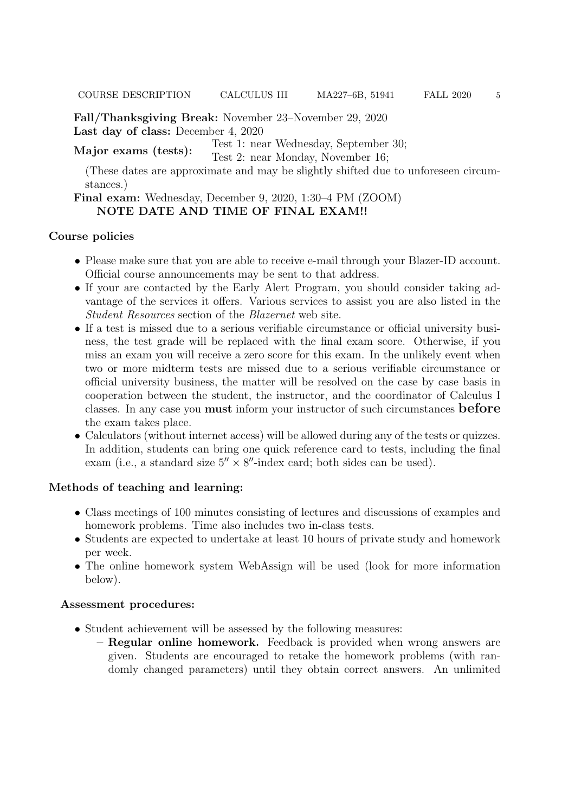**Fall/Thanksgiving Break:** November 23–November 29, 2020 **Last day of class:** December 4, 2020

**Major exams (tests):** Test 1: near Wednesday, September 30;

Test 2: near Monday, November 16;

(These dates are approximate and may be slightly shifted due to unforeseen circumstances.)

## **Final exam:** Wednesday, December 9, 2020, 1:30–4 PM (ZOOM) **NOTE DATE AND TIME OF FINAL EXAM!!**

### **Course policies**

- Please make sure that you are able to receive e-mail through your Blazer-ID account. Official course announcements may be sent to that address.
- If your are contacted by the Early Alert Program, you should consider taking advantage of the services it offers. Various services to assist you are also listed in the *Student Resources* section of the *Blazernet* web site.
- If a test is missed due to a serious verifiable circumstance or official university business, the test grade will be replaced with the final exam score. Otherwise, if you miss an exam you will receive a zero score for this exam. In the unlikely event when two or more midterm tests are missed due to a serious verifiable circumstance or official university business, the matter will be resolved on the case by case basis in cooperation between the student, the instructor, and the coordinator of Calculus I classes. In any case you **must** inform your instructor of such circumstances **before** the exam takes place.
- Calculators (without internet access) will be allowed during any of the tests or quizzes. In addition, students can bring one quick reference card to tests, including the final exam (i.e., a standard size 5*′′ ×* 8 *′′*-index card; both sides can be used).

### **Methods of teaching and learning:**

- Class meetings of 100 minutes consisting of lectures and discussions of examples and homework problems. Time also includes two in-class tests.
- Students are expected to undertake at least 10 hours of private study and homework per week.
- The online homework system WebAssign will be used (look for more information below).

#### **Assessment procedures:**

- *•* Student achievement will be assessed by the following measures:
	- **– Regular online homework.** Feedback is provided when wrong answers are given. Students are encouraged to retake the homework problems (with randomly changed parameters) until they obtain correct answers. An unlimited